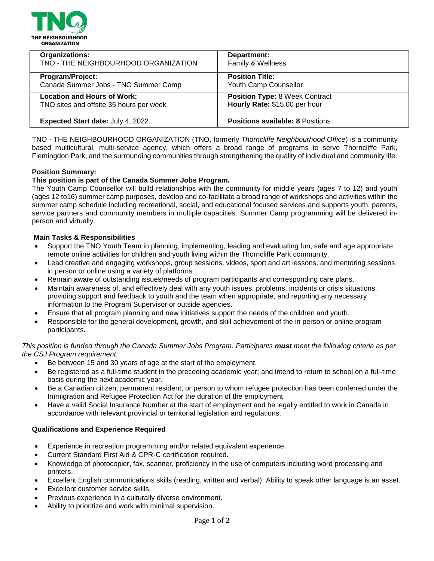

| <b>Organizations:</b>                    | Department:                             |
|------------------------------------------|-----------------------------------------|
| TNO - THE NEIGHBOURHOOD ORGANIZATION     | Family & Wellness                       |
| Program/Project:                         | <b>Position Title:</b>                  |
| Canada Summer Jobs - TNO Summer Camp     | Youth Camp Counsellor                   |
| <b>Location and Hours of Work:</b>       | <b>Position Type: 8 Week Contract</b>   |
| TNO sites and offsite 35 hours per week  | Hourly Rate: \$15.00 per hour           |
| <b>Expected Start date: July 4, 2022</b> | <b>Positions available: 8 Positions</b> |

TNO - THE NEIGHBOURHOOD ORGANIZATION (TNO, formerly *Thorncliffe Neighbourhood Office*) is a community based multicultural, multi-service agency, which offers a broad range of programs to serve Thorncliffe Park, Flemingdon Park, and the surrounding communities through strengthening the quality of individual and community life.

# **Position Summary:**

# **This position is part of the Canada Summer Jobs Program.**

The Youth Camp Counsellor will build relationships with the community for middle years (ages 7 to 12) and youth (ages 12 to16) summer camp purposes, develop and co-facilitate a broad range of workshops and activities within the summer camp schedule including recreational, social, and educational focused services,and supports youth, parents, service partners and community members in multiple capacities. Summer Camp programming will be delivered inperson and virtually.

# **Main Tasks & Responsibilities**

- Support the TNO Youth Team in planning, implementing, leading and evaluating fun, safe and age appropriate remote online activities for children and youth living within the Thorncliffe Park community.
- Lead creative and engaging workshops, group sessions, videos, sport and art lessons, and mentoring sessions in person or online using a variety of platforms.
- Remain aware of outstanding issues/needs of program participants and corresponding care plans.
- Maintain awareness of, and effectively deal with any youth issues, problems, incidents or crisis situations, providing support and feedback to youth and the team when appropriate, and reporting any necessary information to the Program Supervisor or outside agencies.
- Ensure that all program planning and new initiatives support the needs of the children and youth.
- Responsible for the general development, growth, and skill achievement of the in person or online program participants.

*This position is funded through the Canada Summer Jobs Program. Participants must meet the following criteria as per the CSJ Program requirement:*

- Be between 15 and 30 years of age at the start of the employment.
- Be registered as a full-time student in the preceding academic year; and intend to return to school on a full-time basis during the next academic year.
- Be a Canadian citizen, permanent resident, or person to whom refugee protection has been conferred under the Immigration and Refugee Protection Act for the duration of the employment.
- Have a valid Social Insurance Number at the start of employment and be legally entitled to work in Canada in accordance with relevant provincial or territorial legislation and regulations.

## **Qualifications and Experience Required**

- Experience in recreation programming and/or related equivalent experience.
- Current Standard First Aid & CPR-C certification required.
- Knowledge of photocopier, fax, scanner, proficiency in the use of computers including word processing and printers.
- Excellent English communications skills (reading, written and verbal). Ability to speak other language is an asset.
- Excellent customer service skills.
- Previous experience in a culturally diverse environment.
- Ability to prioritize and work with minimal supervision.